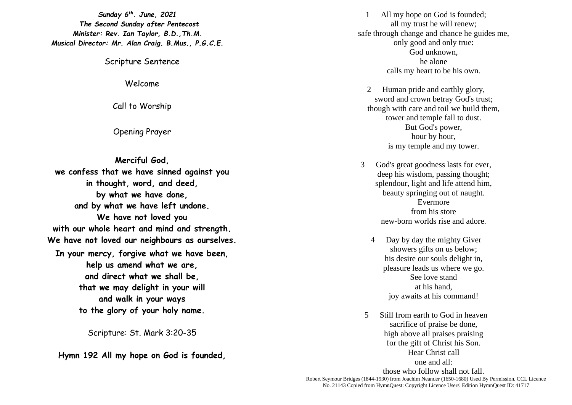*Sunday 6 th. June, 2021 The Second Sunday after Pentecost Minister: Rev. Ian Taylor, B.D.,Th.M. Musical Director: Mr. Alan Craig. B.Mus., P.G.C.E.*

Scripture Sentence

Welcome

Call to Worship

Opening Prayer

**Merciful God, we confess that we have sinned against you in thought, word, and deed, by what we have done, and by what we have left undone. We have not loved you with our whole heart and mind and strength. We have not loved our neighbours as ourselves. In your mercy, forgive what we have been, help us amend what we are, and direct what we shall be, that we may delight in your will and walk in your ways to the glory of your holy name.**

Scripture: St. Mark 3:20-35

**Hymn 192 All my hope on God is founded,**

1 All my hope on God is founded; all my trust he will renew; safe through change and chance he guides me, only good and only true: God unknown, he alone calls my heart to be his own.

2 Human pride and earthly glory, sword and crown betray God's trust; though with care and toil we build them, tower and temple fall to dust. But God's power, hour by hour, is my temple and my tower.

3 God's great goodness lasts for ever, deep his wisdom, passing thought; splendour, light and life attend him, beauty springing out of naught. Evermore from his store new-born worlds rise and adore.

- 4 Day by day the mighty Giver showers gifts on us below; his desire our souls delight in, pleasure leads us where we go. See love stand at his hand, joy awaits at his command!
- 5 Still from earth to God in heaven sacrifice of praise be done, high above all praises praising for the gift of Christ his Son. Hear Christ call one and all: those who follow shall not fall.

Robert Seymour Bridges (1844-1930) from Joachim Neander (1650-1680) Used By Permission. CCL Licence No. 21143 Copied from HymnQuest: Copyright Licence Users' Edition HymnQuest ID: 41717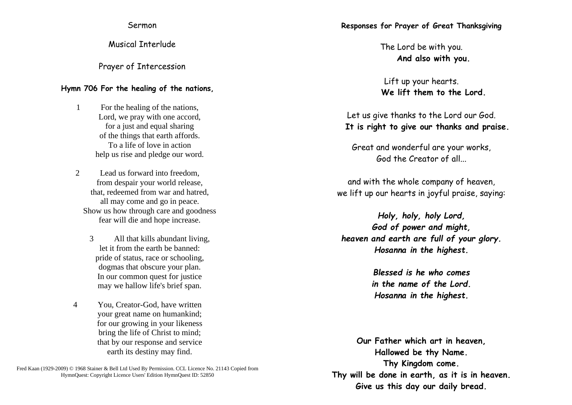Sermon

Musical Interlude

Prayer of Intercession

## **Hymn 706 For the healing of the nations,**

1 For the healing of the nations, Lord, we pray with one accord, for a just and equal sharing of the things that earth affords. To a life of love in action help us rise and pledge our word.

2 Lead us forward into freedom, from despair your world release, that, redeemed from war and hatred, all may come and go in peace. Show us how through care and goodness fear will die and hope increase.

- 3 All that kills abundant living, let it from the earth be banned: pride of status, race or schooling, dogmas that obscure your plan. In our common quest for justice may we hallow life's brief span.
- 4 You, Creator-God, have written your great name on humankind; for our growing in your likeness bring the life of Christ to mind; that by our response and service earth its destiny may find.

Fred Kaan (1929-2009) © 1968 Stainer & Bell Ltd Used By Permission. CCL Licence No. 21143 Copied from HymnQuest: Copyright Licence Users' Edition HymnQuest ID: 52850

## **Responses for Prayer of Great Thanksgiving**

The Lord be with you. **And also with you.**

Lift up your hearts. **We lift them to the Lord.**

Let us give thanks to the Lord our God. **It is right to give our thanks and praise.**

Great and wonderful are your works, God the Creator of all...

and with the whole company of heaven, we lift up our hearts in joyful praise, saying:

*Holy, holy, holy Lord, God of power and might, heaven and earth are full of your glory. Hosanna in the highest.*

> *Blessed is he who comes in the name of the Lord. Hosanna in the highest.*

**Our Father which art in heaven, Hallowed be thy Name. Thy Kingdom come. Thy will be done in earth, as it is in heaven. Give us this day our daily bread.**